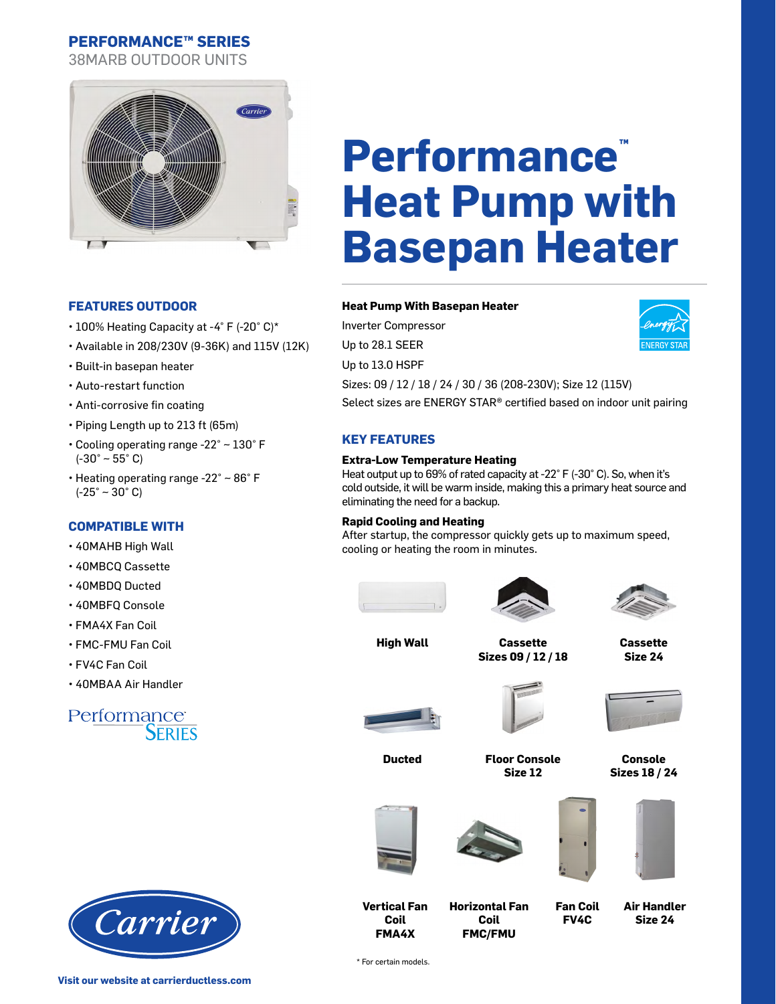38MARB OUTDOOR UNITS



## **FEATURES OUTDOOR**

- 100% Heating Capacity at -4° F (-20° C)\*
- Available in 208/230V (9-36K) and 115V (12K)
- Built-in basepan heater
- Auto-restart function
- Anti-corrosive fin coating
- Piping Length up to 213 ft (65m)
- Cooling operating range -22° ~ 130° F  $(-30° - 55° C)$
- Heating operating range -22° ~ 86° F  $(-25° - 30° C)$

## **COMPATIBLE WITH**

- 40MAHB High Wall
- 40MBCQ Cassette
- 40MBDQ Ducted
- 40MBFQ Console
- FMA4X Fan Coil
- FMC-FMU Fan Coil
- FV4C Fan Coil
- 40MBAA Air Handler

## Performance<br>SERIES



# **Performance™ Heat Pump with Basepan Heater**

## **Heat Pump With Basepan Heater**

Inverter Compressor Up to 28.1 SEER Up to 13.0 HSPF Sizes: 09 / 12 / 18 / 24 / 30 / 36 (208-230V); Size 12 (115V) Select sizes are ENERGY STAR® certified based on indoor unit pairing

## **KEY FEATURES**

#### **Extra-Low Temperature Heating**

Heat output up to 69% of rated capacity at -22° F (-30° C). So, when it's cold outside, it will be warm inside, making this a primary heat source and eliminating the need for a backup.

#### **Rapid Cooling and Heating**

After startup, the compressor quickly gets up to maximum speed, cooling or heating the room in minutes.





**High Wall Cassette Sizes 09 / 12 / 18**



**Cassette Size 24** 

**Console Sizes 18 / 24**





**Ducted Floor Console Size 12**





**Coil FMC/FMU**



**FV4C**







**FMA4X** \* For certain models.

**Vertical Fan Coil**

**Visit our website at carrierductless.com**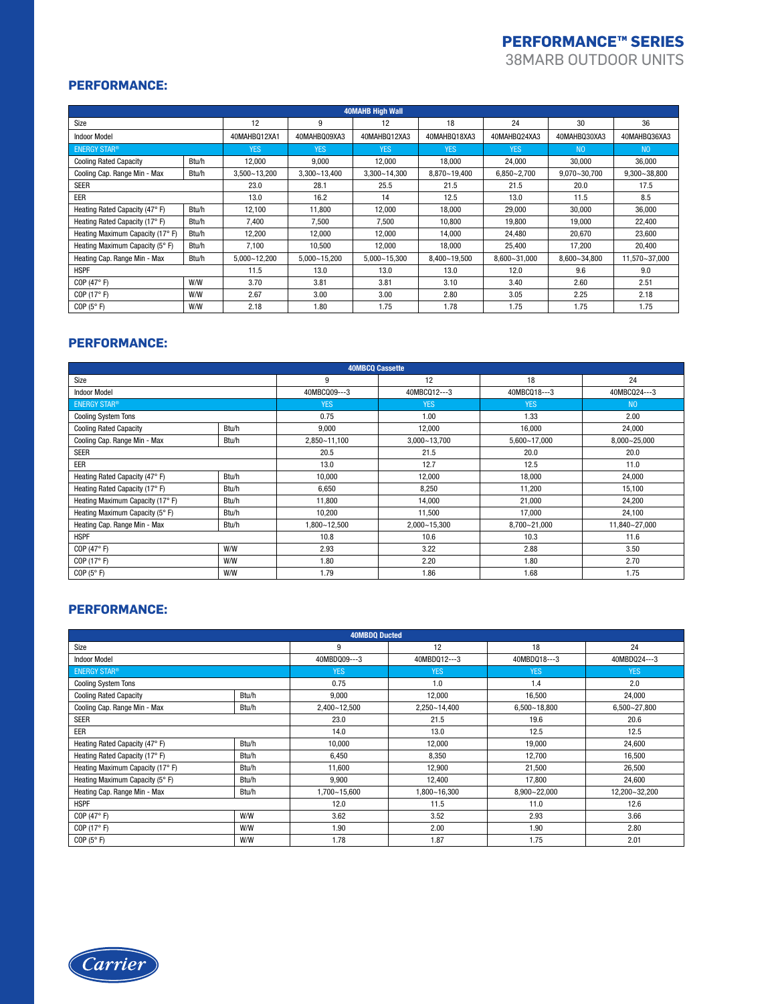38MARB OUTDOOR UNITS

## **PERFORMANCE:**

| <b>40MAHB High Wall</b>          |       |                  |                  |                  |                  |                  |                  |                  |
|----------------------------------|-------|------------------|------------------|------------------|------------------|------------------|------------------|------------------|
| Size                             |       | 12               | 9                | 12               | 18               | 24               | 30               | 36               |
| <b>Indoor Model</b>              |       | 40MAHB012XA1     | 40MAHBQ09XA3     | 40MAHB012XA3     | 40MAHBQ18XA3     | 40MAHBQ24XA3     | 40MAHB030XA3     | 40MAHBQ36XA3     |
| <b>ENERGY STAR®</b>              |       | <b>YES</b>       | <b>YES</b>       | <b>YES</b>       | <b>YES</b>       | <b>YES</b>       | N <sub>0</sub>   | N <sub>0</sub>   |
| <b>Cooling Rated Capacity</b>    | Btu/h | 12.000           | 9.000            | 12.000           | 18.000           | 24.000           | 30.000           | 36,000           |
| Cooling Cap. Range Min - Max     | Btu/h | 3,500~13,200     | $3,300 - 13,400$ | $3,300 - 14,300$ | 8,870~19,400     | $6,850 - 2,700$  | $9,070 - 30,700$ | $9,300 - 38,800$ |
| <b>SEER</b>                      |       | 23.0             | 28.1             | 25.5             | 21.5             | 21.5             | 20.0             | 17.5             |
| EER                              |       | 13.0             | 16.2             | 14               | 12.5             | 13.0             | 11.5             | 8.5              |
| Heating Rated Capacity (47° F)   | Btu/h | 12.100           | 11.800           | 12.000           | 18.000           | 29.000           | 30,000           | 36,000           |
| Heating Rated Capacity (17° F)   | Btu/h | 7,400            | 7,500            | 7,500            | 10.800           | 19,800           | 19.000           | 22,400           |
| Heating Maximum Capacity (17° F) | Btu/h | 12,200           | 12,000           | 12,000           | 14.000           | 24.480           | 20,670           | 23,600           |
| Heating Maximum Capacity (5° F)  | Btu/h | 7,100            | 10,500           | 12,000           | 18,000           | 25,400           | 17,200           | 20,400           |
| Heating Cap. Range Min - Max     | Btu/h | $5.000 - 12.200$ | $5.000 - 15.200$ | $5.000 - 15.300$ | $8.400 - 19.500$ | $8.600 - 31.000$ | $8.600 - 34.800$ | 11.570~37.000    |
| <b>HSPF</b>                      |       | 11.5             | 13.0             | 13.0             | 13.0             | 12.0             | 9.6              | 9.0              |
| COP (47°F)                       | W/W   | 3.70             | 3.81             | 3.81             | 3.10             | 3.40             | 2.60             | 2.51             |
| COP (17°F)                       | W/W   | 2.67             | 3.00             | 3.00             | 2.80             | 3.05             | 2.25             | 2.18             |
| COP(5° F)                        | W/W   | 2.18             | 1.80             | 1.75             | 1.78             | 1.75             | 1.75             | 1.75             |

## **PERFORMANCE:**

| <b>40MBCO Cassette</b>           |       |              |                  |              |                  |  |  |  |  |
|----------------------------------|-------|--------------|------------------|--------------|------------------|--|--|--|--|
| Size                             |       | 9            | 12               | 18           | 24               |  |  |  |  |
| <b>Indoor Model</b>              |       | 40MBCQ09---3 | 40MBCQ12---3     | 40MBCQ18---3 | 40MBCQ24---3     |  |  |  |  |
| <b>ENERGY STAR®</b>              |       | <b>YES</b>   | <b>YES</b>       | <b>YES</b>   | N <sub>0</sub>   |  |  |  |  |
| <b>Cooling System Tons</b>       |       | 0.75<br>1.00 |                  | 1.33         | 2.00             |  |  |  |  |
| <b>Cooling Rated Capacity</b>    | Btu/h | 9.000        | 12.000           | 16.000       | 24,000           |  |  |  |  |
| Cooling Cap. Range Min - Max     | Btu/h | 2,850~11,100 | $3,000 - 13,700$ | 5,600~17,000 | $8,000 - 25,000$ |  |  |  |  |
| <b>SEER</b>                      |       | 20.5         | 21.5             | 20.0         | 20.0             |  |  |  |  |
| EER                              |       | 13.0<br>12.7 |                  | 12.5         | 11.0             |  |  |  |  |
| Heating Rated Capacity (47° F)   | Btu/h | 10,000       | 12,000           | 18,000       | 24,000           |  |  |  |  |
| Heating Rated Capacity (17° F)   | Btu/h | 6,650        | 8,250            | 11,200       | 15,100           |  |  |  |  |
| Heating Maximum Capacity (17° F) | Btu/h | 11,800       | 14.000           | 21.000       | 24,200           |  |  |  |  |
| Heating Maximum Capacity (5° F)  | Btu/h | 10,200       | 11,500           | 17,000       | 24,100           |  |  |  |  |
| Heating Cap. Range Min - Max     | Btu/h | 1,800~12,500 | $2,000 - 15,300$ | 8,700~21,000 | 11,840~27,000    |  |  |  |  |
| <b>HSPF</b>                      |       | 10.8         | 10.6             | 10.3         | 11.6             |  |  |  |  |
| COP (47°F)                       | W/W   | 2.93         | 3.22             | 2.88         | 3.50             |  |  |  |  |
| COP (17°F)                       | W/W   | 1.80         | 2.20             | 1.80         | 2.70             |  |  |  |  |
| COP $(5^{\circ} F)$              | W/W   | 1.79         | 1.86             | 1.68         | 1.75             |  |  |  |  |

## **PERFORMANCE:**

| <b>40MBDQ Ducted</b>             |       |              |                              |                  |               |  |  |  |
|----------------------------------|-------|--------------|------------------------------|------------------|---------------|--|--|--|
| Size                             |       | 9            | 12                           | 18               | 24            |  |  |  |
| <b>Indoor Model</b>              |       | 40MBD009---3 | 40MBD012---3<br>40MBDQ18---3 |                  | 40MBD024---3  |  |  |  |
| <b>ENERGY STAR®</b>              |       | <b>YES</b>   | <b>YES</b>                   | <b>YES</b>       | <b>YES</b>    |  |  |  |
| <b>Cooling System Tons</b>       |       | 0.75<br>1.0  |                              | 1.4              | 2.0           |  |  |  |
| <b>Cooling Rated Capacity</b>    | Btu/h | 9,000        | 12,000                       | 16,500           | 24,000        |  |  |  |
| Cooling Cap. Range Min - Max     | Btu/h | 2,400~12,500 | 2,250~14,400                 | $6,500 - 18,800$ | 6,500~27,800  |  |  |  |
| <b>SEER</b>                      | 23.0  | 21.5<br>19.6 |                              | 20.6             |               |  |  |  |
| EER                              |       | 14.0<br>13.0 |                              | 12.5             | 12.5          |  |  |  |
| Heating Rated Capacity (47° F)   | Btu/h | 10,000       | 12,000                       | 19,000           | 24,600        |  |  |  |
| Heating Rated Capacity (17° F)   | Btu/h | 6,450        | 8,350                        | 12,700           | 16,500        |  |  |  |
| Heating Maximum Capacity (17° F) | Btu/h | 11,600       | 12,900                       | 21,500           | 26,500        |  |  |  |
| Heating Maximum Capacity (5° F)  | Btu/h | 9,900        | 12,400                       | 17.800           | 24,600        |  |  |  |
| Heating Cap. Range Min - Max     | Btu/h | 1,700~15,600 | 1,800~16,300                 | $8,900 - 22,000$ | 12,200~32,200 |  |  |  |
| <b>HSPF</b>                      |       | 12.0         | 11.5                         | 11.0             | 12.6          |  |  |  |
| COP (47°F)                       | W/W   | 3.62         | 3.52                         | 2.93             | 3.66          |  |  |  |
| COP (17°F)                       | W/W   | 1.90         | 2.00                         | 1.90             | 2.80          |  |  |  |
| COP(5° F)                        | W/W   | 1.78         | 1.87                         | 1.75             | 2.01          |  |  |  |

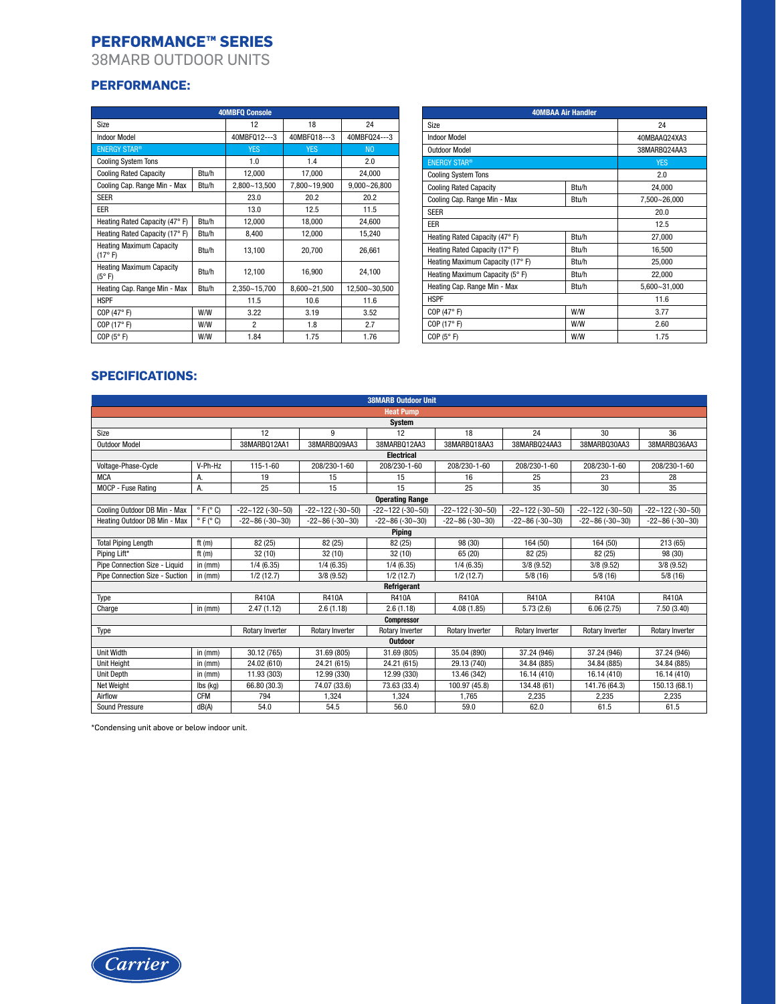38MARB OUTDOOR UNITS

## **PERFORMANCE:**

| <b>40MBFQ Console</b>                                      |              |                |                  |                  |  |  |  |  |  |
|------------------------------------------------------------|--------------|----------------|------------------|------------------|--|--|--|--|--|
| Size                                                       | 12           | 18             | 24               |                  |  |  |  |  |  |
| <b>Indoor Model</b>                                        | 40MBFQ12---3 | 40MBF018---3   | 40MBF024---3     |                  |  |  |  |  |  |
| <b>ENERGY STAR®</b>                                        |              | <b>YES</b>     | <b>YES</b>       | N <sub>0</sub>   |  |  |  |  |  |
| <b>Cooling System Tons</b>                                 |              | 1.0            | 1.4              | 2.0              |  |  |  |  |  |
| <b>Cooling Rated Capacity</b>                              | Btu/h        | 12,000         | 17,000           | 24,000           |  |  |  |  |  |
| Cooling Cap. Range Min - Max                               | Btu/h        | 2,800~13,500   | 7,800~19,900     | $9,000 - 26,800$ |  |  |  |  |  |
| <b>SEER</b>                                                |              | 23.0           | 20.2             | 20.2             |  |  |  |  |  |
| EER                                                        |              | 13.0           | 12.5             | 11.5             |  |  |  |  |  |
| Heating Rated Capacity (47° F)                             | Btu/h        | 12,000         | 18,000           | 24,600           |  |  |  |  |  |
| Heating Rated Capacity (17° F)                             | Btu/h        | 8,400          | 12,000           | 15,240           |  |  |  |  |  |
| <b>Heating Maximum Capacity</b><br>(17° F)                 | Btu/h        | 13,100         | 20.700           | 26.661           |  |  |  |  |  |
| <b>Heating Maximum Capacity</b><br>$(5^{\circ} \text{ F})$ | Btu/h        | 12,100         | 16,900           | 24,100           |  |  |  |  |  |
| Heating Cap. Range Min - Max                               | Btu/h        | 2,350~15,700   | $8.600 - 21.500$ | 12,500~30,500    |  |  |  |  |  |
| <b>HSPF</b>                                                | 11.5         | 10.6           | 11.6             |                  |  |  |  |  |  |
| COP $(47° F)$                                              | W/W          | 3.22           | 3.19             | 3.52             |  |  |  |  |  |
| COP (17°F)                                                 | W/W          | $\overline{2}$ | 1.8              | 2.7              |  |  |  |  |  |
| COP(5° F)                                                  | W/W          | 1.84           | 1.75             | 1.76             |  |  |  |  |  |

| <b>40MBAA Air Handler</b>        |              |              |  |  |  |  |
|----------------------------------|--------------|--------------|--|--|--|--|
| Size                             | 24           |              |  |  |  |  |
| <b>Indoor Model</b>              | 40MBAA024XA3 |              |  |  |  |  |
| <b>Outdoor Model</b>             |              | 38MARB024AA3 |  |  |  |  |
| <b>ENERGY STAR®</b>              | <b>YES</b>   |              |  |  |  |  |
| <b>Cooling System Tons</b>       |              | 2.0          |  |  |  |  |
| <b>Cooling Rated Capacity</b>    | Btu/h        | 24,000       |  |  |  |  |
| Cooling Cap. Range Min - Max     | Btu/h        | 7,500~26,000 |  |  |  |  |
| <b>SEER</b>                      | 20.0         |              |  |  |  |  |
| EER                              |              | 12.5         |  |  |  |  |
| Heating Rated Capacity (47° F)   | Btu/h        | 27,000       |  |  |  |  |
| Heating Rated Capacity (17° F)   | Btu/h        | 16,500       |  |  |  |  |
| Heating Maximum Capacity (17° F) | Btu/h        | 25,000       |  |  |  |  |
| Heating Maximum Capacity (5° F)  | Btu/h        | 22,000       |  |  |  |  |
| Heating Cap. Range Min - Max     | Btu/h        | 5,600~31,000 |  |  |  |  |
| <b>HSPF</b>                      |              | 11.6         |  |  |  |  |
| COP(47° F)                       | W/W          | 3.77         |  |  |  |  |
| COP(17° F)                       | W/W          | 2.60         |  |  |  |  |
| COP(5° F)                        | W/W          | 1.75         |  |  |  |  |

## **SPECIFICATIONS:**

| <b>38MARB Outdoor Unit</b>     |                              |                            |                            |                            |                            |                            |                            |                            |  |
|--------------------------------|------------------------------|----------------------------|----------------------------|----------------------------|----------------------------|----------------------------|----------------------------|----------------------------|--|
|                                | <b>Heat Pump</b>             |                            |                            |                            |                            |                            |                            |                            |  |
|                                |                              |                            |                            | System                     |                            |                            |                            |                            |  |
| Size                           |                              | 12                         | 9                          | 12                         | 18                         | 24                         | 30                         | 36                         |  |
| <b>Outdoor Model</b>           |                              | 38MARB012AA1               | 38MARBQ09AA3               | 38MARB012AA3               | 38MARB018AA3               | 38MARB024AA3               | 38MARB030AA3               | 38MARBQ36AA3               |  |
| <b>Electrical</b>              |                              |                            |                            |                            |                            |                            |                            |                            |  |
| Voltage-Phase-Cycle            | V-Ph-Hz                      | 115-1-60                   | 208/230-1-60               | 208/230-1-60               | 208/230-1-60               | 208/230-1-60               | 208/230-1-60               | 208/230-1-60               |  |
| <b>MCA</b>                     | А.                           | 19                         | 15                         | 15                         | 16                         | 25                         | 23                         | 28                         |  |
| MOCP - Fuse Rating             | А.                           | 25                         | 15                         | 15                         | 25                         | 35                         | 30                         | 35                         |  |
|                                |                              |                            |                            | <b>Operating Range</b>     |                            |                            |                            |                            |  |
| Cooling Outdoor DB Min - Max   | $\circ$ F ( $\circ$ C)       | $-22 - 122$ ( $-30 - 50$ ) | $-22 - 122$ ( $-30 - 50$ ) | $-22 - 122$ ( $-30 - 50$ ) | $-22 - 122$ ( $-30 - 50$ ) | $-22 - 122$ ( $-30 - 50$ ) | $-22 - 122$ ( $-30 - 50$ ) | $-22 - 122$ ( $-30 - 50$ ) |  |
| Heating Outdoor DB Min - Max   | $^{\circ}$ F ( $^{\circ}$ C) | $-22 - 86 (-30 - 30)$      | $-22 - 86 (-30 - 30)$      | $-22-86(-30-30)$           | $-22 - 86 (-30 - 30)$      | $-22 - 86 (-30 - 30)$      | $-22 - 86 (-30 - 30)$      | $-22 - 86 (-30 - 30)$      |  |
|                                | Piping                       |                            |                            |                            |                            |                            |                            |                            |  |
| <b>Total Piping Length</b>     | ft $(m)$                     | 82 (25)                    | 82 (25)                    | 82 (25)                    | 98 (30)                    | 164 (50)                   | 164 (50)                   | 213 (65)                   |  |
| Piping Lift*                   | ft(m)                        | 32(10)                     | 32(10)                     | 32(10)                     | 65 (20)                    | 82 (25)                    | 82 (25)                    | 98 (30)                    |  |
| Pipe Connection Size - Liquid  | in $(mm)$                    | 1/4(6.35)                  | 1/4(6.35)                  | 1/4(6.35)                  | 1/4(6.35)                  | 3/8(9.52)                  | 3/8(9.52)                  | 3/8(9.52)                  |  |
| Pipe Connection Size - Suction | in $(mm)$                    | 1/2(12.7)                  | $3/8$ (9.52)               | 1/2(12.7)                  | 1/2(12.7)                  | 5/8(16)                    | 5/8(16)                    | 5/8(16)                    |  |
|                                |                              |                            |                            | Refrigerant                |                            |                            |                            |                            |  |
| Type                           |                              | <b>R410A</b>               | R410A                      | R410A                      | <b>R410A</b>               | R410A                      | R410A                      | R410A                      |  |
| Charge                         | in $(mm)$                    | 2.47(1.12)                 | 2.6(1.18)                  | 2.6(1.18)                  | 4.08(1.85)                 | 5.73(2.6)                  | 6.06(2.75)                 | 7.50 (3.40)                |  |
|                                |                              |                            |                            | <b>Compressor</b>          |                            |                            |                            |                            |  |
| Type                           |                              | Rotary Inverter            | <b>Rotary Inverter</b>     | Rotary Inverter            | <b>Rotary Inverter</b>     | Rotary Inverter            | Rotary Inverter            | <b>Rotary Inverter</b>     |  |
|                                |                              |                            |                            | <b>Outdoor</b>             |                            |                            |                            |                            |  |
| Unit Width                     | in $(mm)$                    | 30.12 (765)                | 31.69 (805)                | 31.69 (805)                | 35.04 (890)                | 37.24 (946)                | 37.24 (946)                | 37.24 (946)                |  |
| <b>Unit Height</b>             | in $(mm)$                    | 24.02 (610)                | 24.21 (615)                | 24.21 (615)                | 29.13 (740)                | 34.84 (885)                | 34.84 (885)                | 34.84 (885)                |  |
| Unit Depth                     | in $(mm)$                    | 11.93 (303)                | 12.99 (330)                | 12.99 (330)                | 13.46 (342)                | 16.14 (410)                | 16.14 (410)                | 16.14 (410)                |  |
| <b>Net Weight</b>              | lbs (kg)                     | 66.80 (30.3)               | 74.07 (33.6)               | 73.63 (33.4)               | 100.97 (45.8)              | 134.48 (61)                | 141.76 (64.3)              | 150.13 (68.1)              |  |
| Airflow                        | <b>CFM</b>                   | 794                        | 1.324                      | 1.324                      | 1.765                      | 2.235                      | 2,235                      | 2,235                      |  |
| Sound Pressure                 | dB(A)                        | 54.0                       | 54.5                       | 56.0                       | 59.0                       | 62.0                       | 61.5                       | 61.5                       |  |

\*Condensing unit above or below indoor unit.